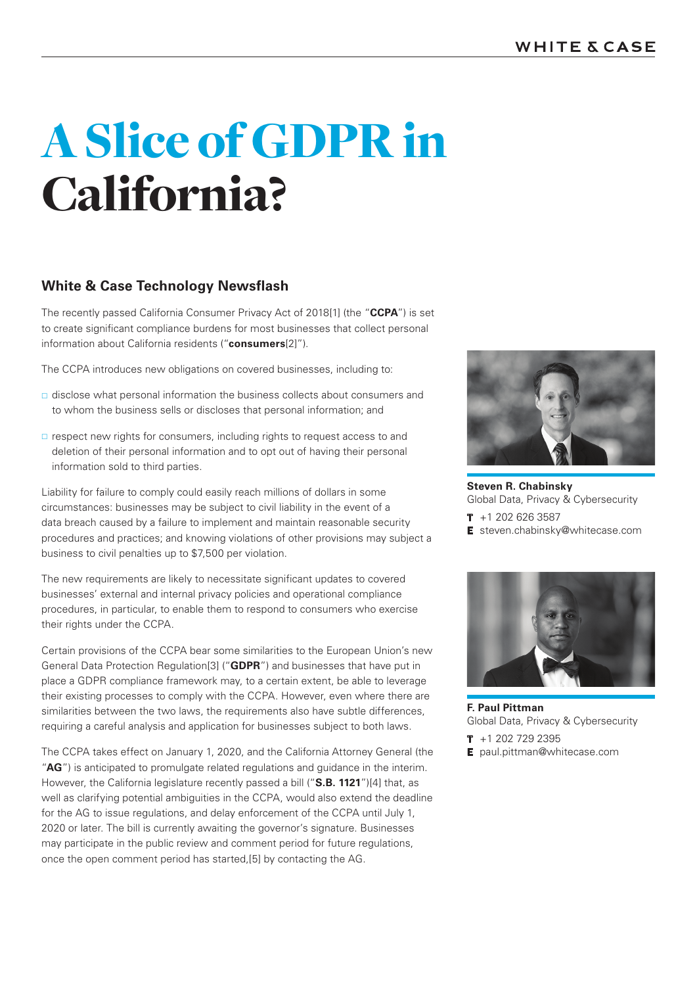# **White & Case Technology Newsflash**

The recently passed California Consumer Privacy Act of 2018[1] (the "**CCPA**") is set to create significant compliance burdens for most businesses that collect personal information about California residents ("**consumers**[2]").

The CCPA introduces new obligations on covered businesses, including to:

- $\Box$  disclose what personal information the business collects about consumers and to whom the business sells or discloses that personal information; and
- $\Box$  respect new rights for consumers, including rights to request access to and deletion of their personal information and to opt out of having their personal information sold to third parties.

Liability for failure to comply could easily reach millions of dollars in some circumstances: businesses may be subject to civil liability in the event of a data breach caused by a failure to implement and maintain reasonable security procedures and practices; and knowing violations of other provisions may subject a business to civil penalties up to \$7,500 per violation.

The new requirements are likely to necessitate significant updates to covered businesses' external and internal privacy policies and operational compliance procedures, in particular, to enable them to respond to consumers who exercise their rights under the CCPA.

Certain provisions of the CCPA bear some similarities to the European Union's new General Data Protection Regulation[3] ("**GDPR**") and businesses that have put in place a GDPR compliance framework may, to a certain extent, be able to leverage their existing processes to comply with the CCPA. However, even where there are similarities between the two laws, the requirements also have subtle differences, requiring a careful analysis and application for businesses subject to both laws.

The CCPA takes effect on January 1, 2020, and the California Attorney General (the "**AG**") is anticipated to promulgate related regulations and guidance in the interim. However, the California legislature recently passed a bill ("**S.B. 1121**")[4] that, as well as clarifying potential ambiguities in the CCPA, would also extend the deadline for the AG to issue regulations, and delay enforcement of the CCPA until July 1, 2020 or later. The bill is currently awaiting the governor's signature. Businesses may participate in the public review and comment period for future regulations, once the open comment period has started,[5] by contacting the AG.



**Steven R. Chabinsky** Global Data, Privacy & Cybersecurity

**T** +1 202 626 3587 **E** steven.chabinsky@whitecase.com



**F. Paul Pittman** Global Data, Privacy & Cybersecurity

- **T** +1 202 729 2395
- **E** paul.pittman@whitecase.com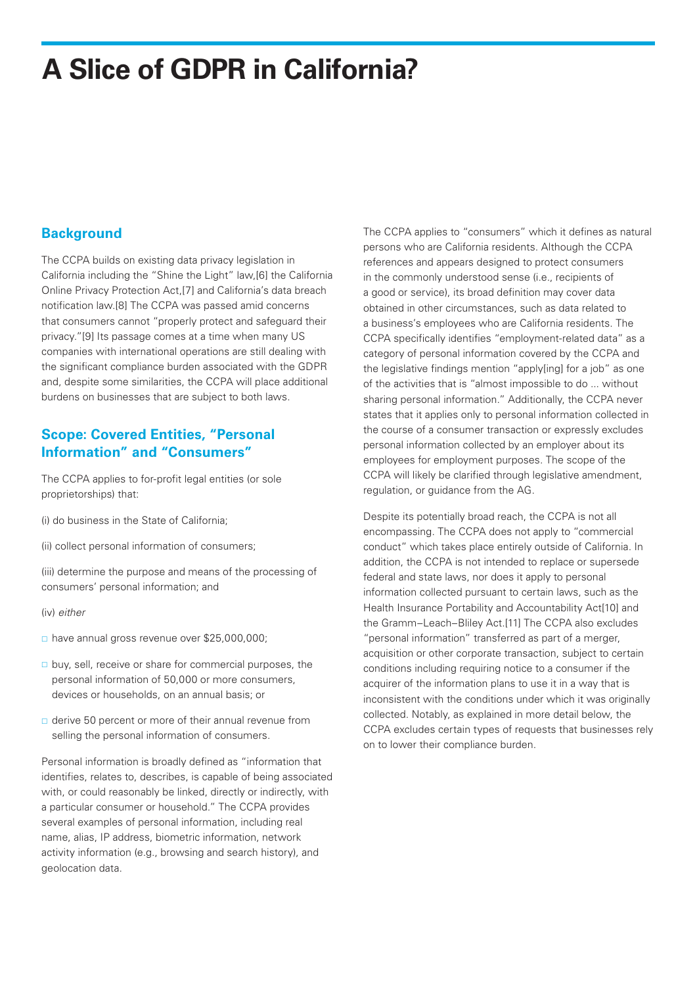## **Background**

The CCPA builds on existing data privacy legislation in California including the "Shine the Light" law,[6] the California Online Privacy Protection Act,[7] and California's data breach notification law.[8] The CCPA was passed amid concerns that consumers cannot "properly protect and safeguard their privacy."[9] Its passage comes at a time when many US companies with international operations are still dealing with the significant compliance burden associated with the GDPR and, despite some similarities, the CCPA will place additional burdens on businesses that are subject to both laws.

## **Scope: Covered Entities, "Personal Information" and "Consumers"**

The CCPA applies to for-profit legal entities (or sole proprietorships) that:

(i) do business in the State of California;

(ii) collect personal information of consumers;

(iii) determine the purpose and means of the processing of consumers' personal information; and

(iv) *either*

- have annual gross revenue over \$25,000,000;
- $\Box$  buy, sell, receive or share for commercial purposes, the personal information of 50,000 or more consumers, devices or households, on an annual basis; or
- $\Box$  derive 50 percent or more of their annual revenue from selling the personal information of consumers.

Personal information is broadly defined as "information that identifies, relates to, describes, is capable of being associated with, or could reasonably be linked, directly or indirectly, with a particular consumer or household." The CCPA provides several examples of personal information, including real name, alias, IP address, biometric information, network activity information (e.g., browsing and search history), and geolocation data.

The CCPA applies to "consumers" which it defines as natural persons who are California residents. Although the CCPA references and appears designed to protect consumers in the commonly understood sense (i.e., recipients of a good or service), its broad definition may cover data obtained in other circumstances, such as data related to a business's employees who are California residents. The CCPA specifically identifies "employment-related data" as a category of personal information covered by the CCPA and the legislative findings mention "apply[ing] for a job" as one of the activities that is "almost impossible to do ... without sharing personal information." Additionally, the CCPA never states that it applies only to personal information collected in the course of a consumer transaction or expressly excludes personal information collected by an employer about its employees for employment purposes. The scope of the CCPA will likely be clarified through legislative amendment, regulation, or guidance from the AG.

Despite its potentially broad reach, the CCPA is not all encompassing. The CCPA does not apply to "commercial conduct" which takes place entirely outside of California. In addition, the CCPA is not intended to replace or supersede federal and state laws, nor does it apply to personal information collected pursuant to certain laws, such as the Health Insurance Portability and Accountability Act[10] and the Gramm–Leach–Bliley Act.[11] The CCPA also excludes "personal information" transferred as part of a merger, acquisition or other corporate transaction, subject to certain conditions including requiring notice to a consumer if the acquirer of the information plans to use it in a way that is inconsistent with the conditions under which it was originally collected. Notably, as explained in more detail below, the CCPA excludes certain types of requests that businesses rely on to lower their compliance burden.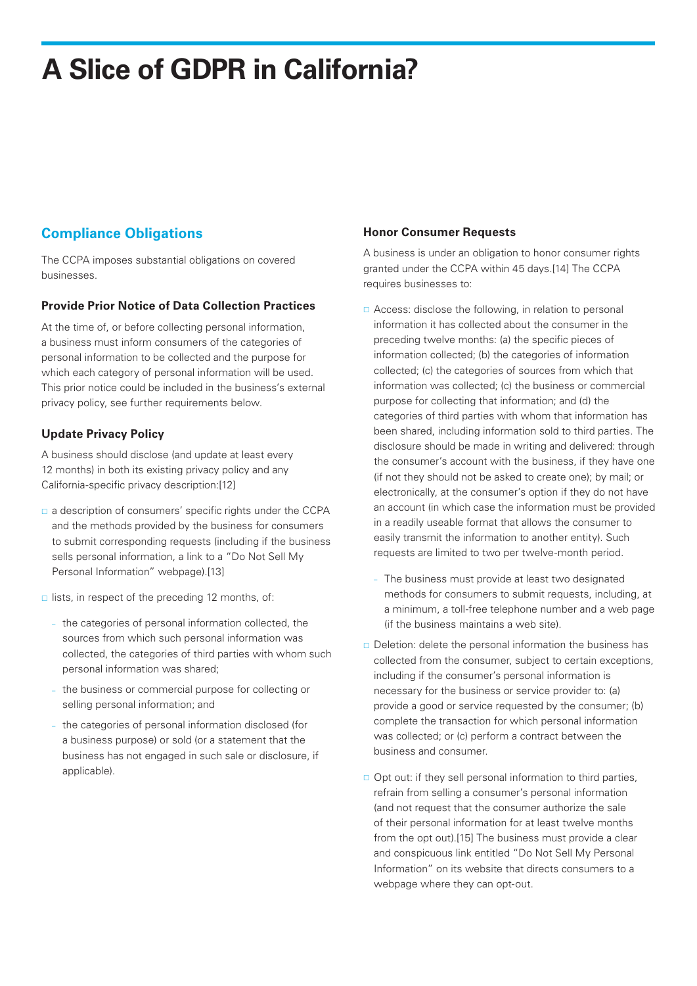# **Compliance Obligations**

The CCPA imposes substantial obligations on covered businesses.

### **Provide Prior Notice of Data Collection Practices**

At the time of, or before collecting personal information, a business must inform consumers of the categories of personal information to be collected and the purpose for which each category of personal information will be used. This prior notice could be included in the business's external privacy policy, see further requirements below.

### **Update Privacy Policy**

A business should disclose (and update at least every 12 months) in both its existing privacy policy and any California-specific privacy description:[12]

- a description of consumers' specific rights under the CCPA and the methods provided by the business for consumers to submit corresponding requests (including if the business sells personal information, a link to a "Do Not Sell My Personal Information" webpage).[13]
- $\Box$  lists, in respect of the preceding 12 months, of:
	- the categories of personal information collected, the sources from which such personal information was collected, the categories of third parties with whom such personal information was shared;
	- the business or commercial purpose for collecting or selling personal information; and
	- the categories of personal information disclosed (for a business purpose) or sold (or a statement that the business has not engaged in such sale or disclosure, if applicable).

#### **Honor Consumer Requests**

A business is under an obligation to honor consumer rights granted under the CCPA within 45 days.[14] The CCPA requires businesses to:

- □ Access: disclose the following, in relation to personal information it has collected about the consumer in the preceding twelve months: (a) the specific pieces of information collected; (b) the categories of information collected; (c) the categories of sources from which that information was collected; (c) the business or commercial purpose for collecting that information; and (d) the categories of third parties with whom that information has been shared, including information sold to third parties. The disclosure should be made in writing and delivered: through the consumer's account with the business, if they have one (if not they should not be asked to create one); by mail; or electronically, at the consumer's option if they do not have an account (in which case the information must be provided in a readily useable format that allows the consumer to easily transmit the information to another entity). Such requests are limited to two per twelve-month period.
	- The business must provide at least two designated methods for consumers to submit requests, including, at a minimum, a toll-free telephone number and a web page (if the business maintains a web site).
- $\Box$  Deletion: delete the personal information the business has collected from the consumer, subject to certain exceptions, including if the consumer's personal information is necessary for the business or service provider to: (a) provide a good or service requested by the consumer; (b) complete the transaction for which personal information was collected; or (c) perform a contract between the business and consumer.
- $\Box$  Opt out: if they sell personal information to third parties, refrain from selling a consumer's personal information (and not request that the consumer authorize the sale of their personal information for at least twelve months from the opt out).[15] The business must provide a clear and conspicuous link entitled "Do Not Sell My Personal Information" on its website that directs consumers to a webpage where they can opt-out.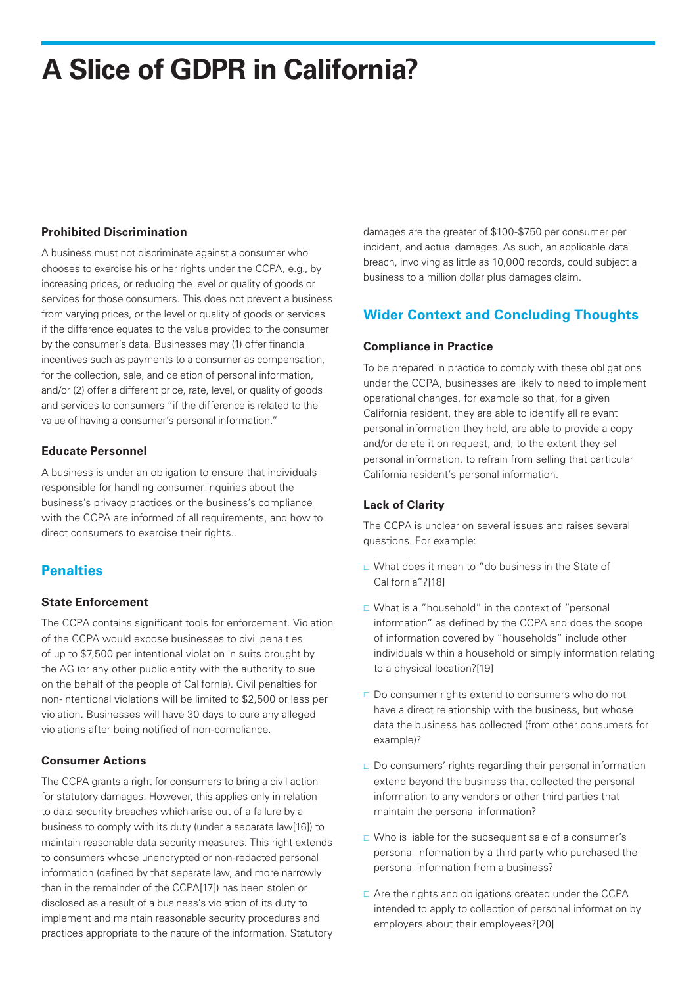### **Prohibited Discrimination**

A business must not discriminate against a consumer who chooses to exercise his or her rights under the CCPA, e.g., by increasing prices, or reducing the level or quality of goods or services for those consumers. This does not prevent a business from varying prices, or the level or quality of goods or services if the difference equates to the value provided to the consumer by the consumer's data. Businesses may (1) offer financial incentives such as payments to a consumer as compensation, for the collection, sale, and deletion of personal information, and/or (2) offer a different price, rate, level, or quality of goods and services to consumers "if the difference is related to the value of having a consumer's personal information."

### **Educate Personnel**

A business is under an obligation to ensure that individuals responsible for handling consumer inquiries about the business's privacy practices or the business's compliance with the CCPA are informed of all requirements, and how to direct consumers to exercise their rights...

# **Penalties**

### **State Enforcement**

The CCPA contains significant tools for enforcement. Violation of the CCPA would expose businesses to civil penalties of up to \$7,500 per intentional violation in suits brought by the AG (or any other public entity with the authority to sue on the behalf of the people of California). Civil penalties for non-intentional violations will be limited to \$2,500 or less per violation. Businesses will have 30 days to cure any alleged violations after being notified of non-compliance.

### **Consumer Actions**

The CCPA grants a right for consumers to bring a civil action for statutory damages. However, this applies only in relation to data security breaches which arise out of a failure by a business to comply with its duty (under a separate law[16]) to maintain reasonable data security measures. This right extends to consumers whose unencrypted or non-redacted personal information (defined by that separate law, and more narrowly than in the remainder of the CCPA[17]) has been stolen or disclosed as a result of a business's violation of its duty to implement and maintain reasonable security procedures and practices appropriate to the nature of the information. Statutory damages are the greater of \$100-\$750 per consumer per incident, and actual damages. As such, an applicable data breach, involving as little as 10,000 records, could subject a business to a million dollar plus damages claim.

# **Wider Context and Concluding Thoughts**

#### **Compliance in Practice**

To be prepared in practice to comply with these obligations under the CCPA, businesses are likely to need to implement operational changes, for example so that, for a given California resident, they are able to identify all relevant personal information they hold, are able to provide a copy and/or delete it on request, and, to the extent they sell personal information, to refrain from selling that particular California resident's personal information.

### **Lack of Clarity**

The CCPA is unclear on several issues and raises several questions. For example:

- What does it mean to "do business in the State of California"?[18]
- □ What is a "household" in the context of "personal information" as defined by the CCPA and does the scope of information covered by "households" include other individuals within a household or simply information relating to a physical location?[19]
- Do consumer rights extend to consumers who do not have a direct relationship with the business, but whose data the business has collected (from other consumers for example)?
- Do consumers' rights regarding their personal information extend beyond the business that collected the personal information to any vendors or other third parties that maintain the personal information?
- □ Who is liable for the subsequent sale of a consumer's personal information by a third party who purchased the personal information from a business?
- □ Are the rights and obligations created under the CCPA intended to apply to collection of personal information by employers about their employees?[20]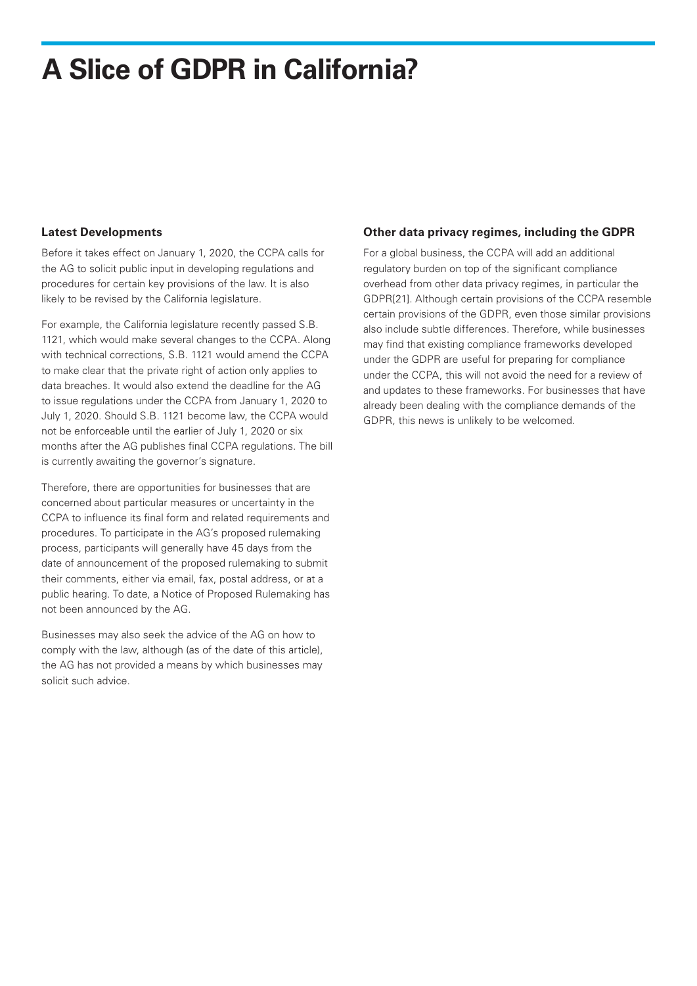#### **Latest Developments**

Before it takes effect on January 1, 2020, the CCPA calls for the AG to solicit public input in developing regulations and procedures for certain key provisions of the law. It is also likely to be revised by the California legislature.

For example, the California legislature recently passed S.B. 1121, which would make several changes to the CCPA. Along with technical corrections, S.B. 1121 would amend the CCPA to make clear that the private right of action only applies to data breaches. It would also extend the deadline for the AG to issue regulations under the CCPA from January 1, 2020 to July 1, 2020. Should S.B. 1121 become law, the CCPA would not be enforceable until the earlier of July 1, 2020 or six months after the AG publishes final CCPA regulations. The bill is currently awaiting the governor's signature.

Therefore, there are opportunities for businesses that are concerned about particular measures or uncertainty in the CCPA to influence its final form and related requirements and procedures. To participate in the AG's proposed rulemaking process, participants will generally have 45 days from the date of announcement of the proposed rulemaking to submit their comments, either via email, fax, postal address, or at a public hearing. To date, a Notice of Proposed Rulemaking has not been announced by the AG.

Businesses may also seek the advice of the AG on how to comply with the law, although (as of the date of this article), the AG has not provided a means by which businesses may solicit such advice.

#### **Other data privacy regimes, including the GDPR**

For a global business, the CCPA will add an additional regulatory burden on top of the significant compliance overhead from other data privacy regimes, in particular the GDPR[21]. Although certain provisions of the CCPA resemble certain provisions of the GDPR, even those similar provisions also include subtle differences. Therefore, while businesses may find that existing compliance frameworks developed under the GDPR are useful for preparing for compliance under the CCPA, this will not avoid the need for a review of and updates to these frameworks. For businesses that have already been dealing with the compliance demands of the GDPR, this news is unlikely to be welcomed.